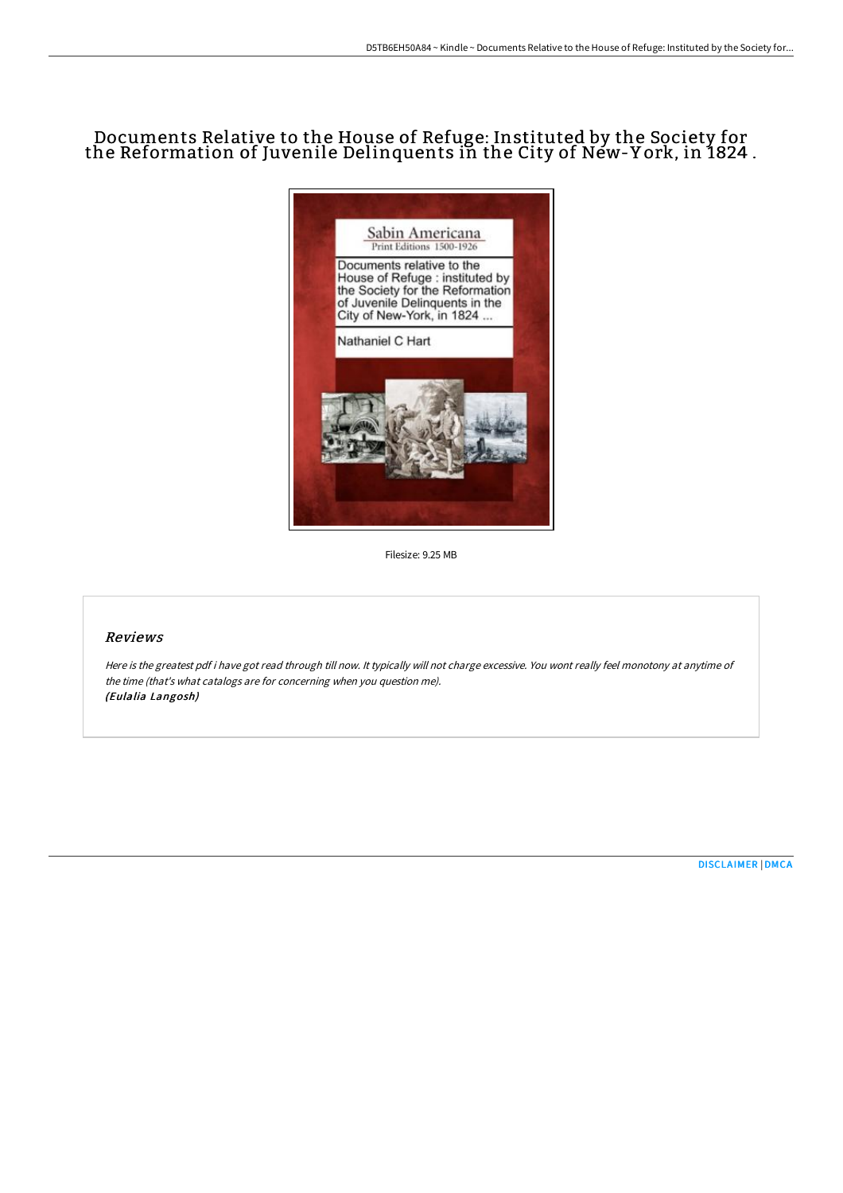# Documents Relative to the House of Refuge: Instituted by the Society for the Reformation of Juvenile Delinquents in the City of New-Y ork, in 1824 .



Filesize: 9.25 MB

#### Reviews

Here is the greatest pdf i have got read through till now. It typically will not charge excessive. You wont really feel monotony at anytime of the time (that's what catalogs are for concerning when you question me). (Eulalia Langosh)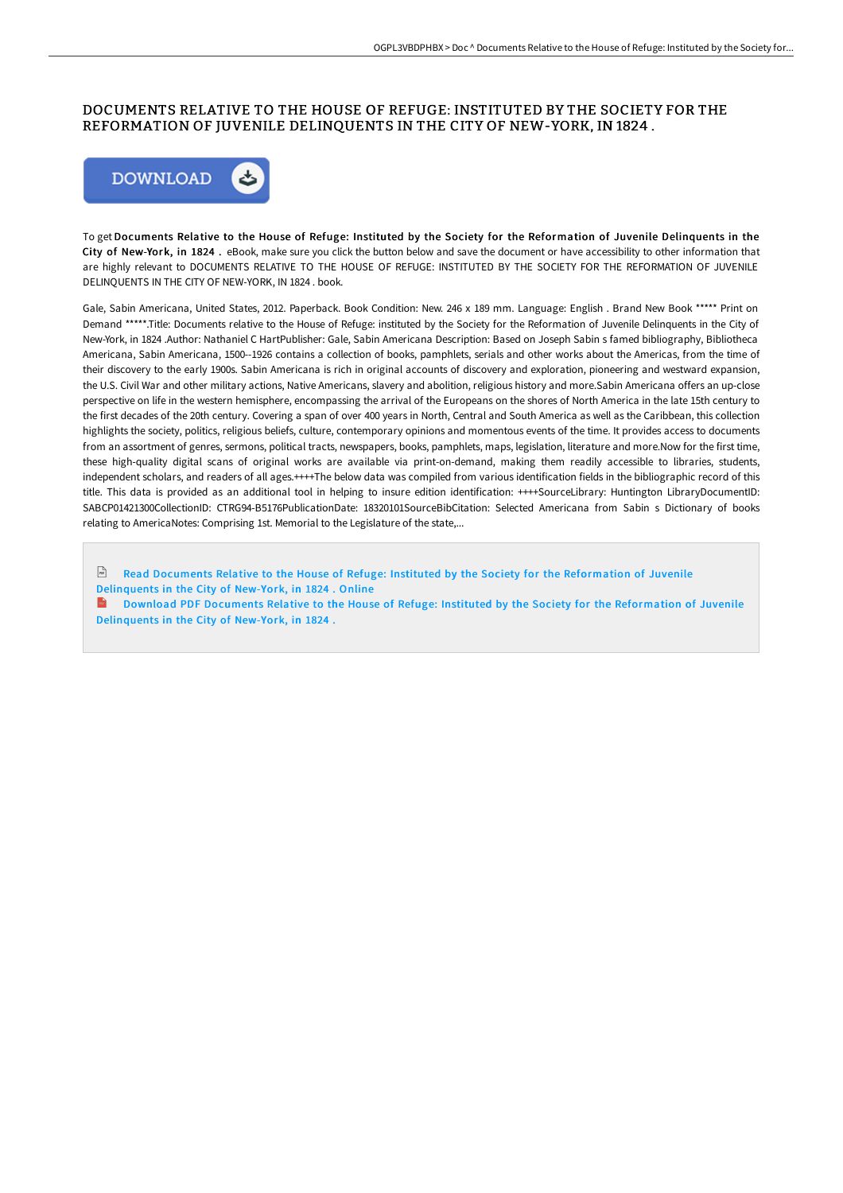### DOCUMENTS RELATIVE TO THE HOUSE OF REFUGE: INSTITUTED BY THE SOCIETY FOR THE REFORMATION OF JUVENILE DELINQUENTS IN THE CITY OF NEW-YORK, IN 1824 .



To get Documents Relative to the House of Refuge: Instituted by the Society for the Reformation of Juvenile Delinquents in the City of New-York, in 1824 . eBook, make sure you click the button below and save the document or have accessibility to other information that are highly relevant to DOCUMENTS RELATIVE TO THE HOUSE OF REFUGE: INSTITUTED BY THE SOCIETY FOR THE REFORMATION OF JUVENILE DELINQUENTS IN THE CITY OF NEW-YORK, IN 1824 . book.

Gale, Sabin Americana, United States, 2012. Paperback. Book Condition: New. 246 x 189 mm. Language: English . Brand New Book \*\*\*\*\* Print on Demand \*\*\*\*\*.Title: Documents relative to the House of Refuge: instituted by the Society for the Reformation of Juvenile Delinquents in the City of New-York, in 1824 .Author: Nathaniel C HartPublisher: Gale, Sabin Americana Description: Based on Joseph Sabin s famed bibliography, Bibliotheca Americana, Sabin Americana, 1500--1926 contains a collection of books, pamphlets, serials and other works about the Americas, from the time of their discovery to the early 1900s. Sabin Americana is rich in original accounts of discovery and exploration, pioneering and westward expansion, the U.S. Civil War and other military actions, Native Americans, slavery and abolition, religious history and more.Sabin Americana offers an up-close perspective on life in the western hemisphere, encompassing the arrival of the Europeans on the shores of North America in the late 15th century to the first decades of the 20th century. Covering a span of over 400 years in North, Central and South America as well as the Caribbean, this collection highlights the society, politics, religious beliefs, culture, contemporary opinions and momentous events of the time. It provides access to documents from an assortment of genres, sermons, political tracts, newspapers, books, pamphlets, maps, legislation, literature and more.Now for the first time, these high-quality digital scans of original works are available via print-on-demand, making them readily accessible to libraries, students, independent scholars, and readers of all ages.++++The below data was compiled from various identification fields in the bibliographic record of this title. This data is provided as an additional tool in helping to insure edition identification: ++++SourceLibrary: Huntington LibraryDocumentID: SABCP01421300CollectionID: CTRG94-B5176PublicationDate: 18320101SourceBibCitation: Selected Americana from Sabin s Dictionary of books relating to AmericaNotes: Comprising 1st. Memorial to the Legislature of the state,...

Read Documents Relative to the House of Refuge: Instituted by the Society for the [Reformation](http://techno-pub.tech/documents-relative-to-the-house-of-refuge-instit.html) of Juvenile Delinquents in the City of New-York, in 1824 . Online

Download PDF Documents Relative to the House of Refuge: Instituted by the Society for the [Reformation](http://techno-pub.tech/documents-relative-to-the-house-of-refuge-instit.html) of Juvenile Delinquents in the City of New-York, in 1824 .